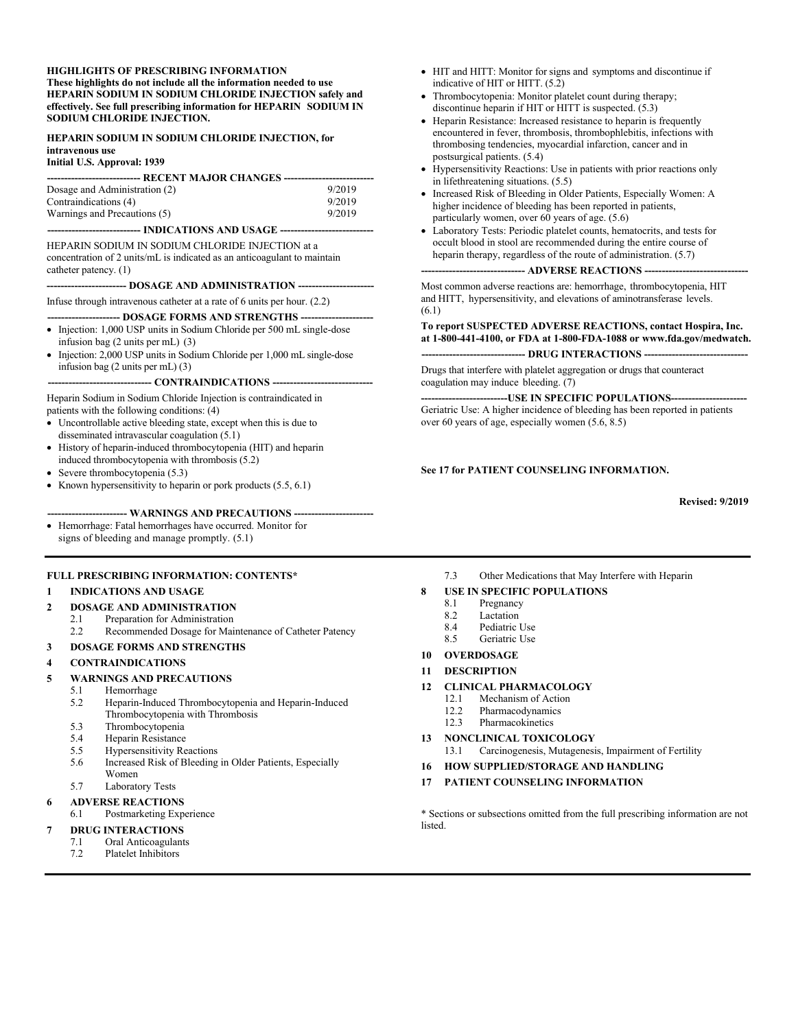#### **HIGHLIGHTS OF PRESCRIBING INFORMATION These highlights do not include all the information needed to use HEPARIN SODIUM IN SODIUM CHLORIDE INJECTION safely and effectively. See full prescribing information for HEPARIN SODIUM IN SODIUM CHLORIDE INJECTION.**

#### **HEPARIN SODIUM IN SODIUM CHLORIDE INJECTION, for intravenous use Initial U.S. Approval: 1939**

| Dosage and Administration (2) | 9/2019 |  |  |
|-------------------------------|--------|--|--|
| Contraindications (4)         | 9/2019 |  |  |
| Warnings and Precautions (5)  | 9/2019 |  |  |
|                               |        |  |  |

**--------------------------- INDICATIONS AND USAGE ---------------------------**

HEPARIN SODIUM IN SODIUM CHLORIDE INJECTION at a concentration of 2 units/mL is indicated as an anticoagulant to maintain catheter patency. (1)

#### -- **DOSAGE AND ADMINISTRATION ----**

Infuse through intravenous catheter at a rate of 6 units per hour. (2.2)

- **--- DOSAGE FORMS AND STRENGTHS ----**• Injection: 1,000 USP units in Sodium Chloride per 500 mL single-dose infusion bag (2 units per mL) (3)
- Injection: 2,000 USP units in Sodium Chloride per 1,000 mL single-dose infusion bag (2 units per mL) (3)

#### **------------------------------ CONTRAINDICATIONS -----------------------------**

Heparin Sodium in Sodium Chloride Injection is contraindicated in patients with the following conditions: (4)

- Uncontrollable active bleeding state, except when this is due to disseminated intravascular coagulation (5.1)
- History of heparin-induced thrombocytopenia (HIT) and heparin induced thrombocytopenia with thrombosis (5.2)
- Severe thrombocytopenia (5.3)
- Known hypersensitivity to heparin or pork products  $(5.5, 6.1)$

#### -- WARNINGS AND PRECAUTIONS ---

 Hemorrhage: Fatal hemorrhages have occurred. Monitor for signs of bleeding and manage promptly. (5.1)

#### **FULL PRESCRIBING INFORMATION: CONTENTS\***

#### **1 INDICATIONS AND USAGE**

#### **2 DOSAGE AND ADMINISTRATION**

- 2.1 Preparation for Administration<br>2.2 Recommended Dosage for Mai
	- Recommended Dosage for Maintenance of Catheter Patency

#### **3 DOSAGE FORMS AND STRENGTHS**

#### **4 CONTRAINDICATIONS**

#### **5 WARNINGS AND PRECAUTIONS**

- 5.1 Hemorrhage
- 5.2 Heparin-Induced Thrombocytopenia and Heparin-Induced Thrombocytopenia with Thrombosis
- 5.3 Thrombocytopenia<br>5.4 Heparin Resistance
- Heparin Resistance
- 5.5 Hypersensitivity Reactions
- 5.6 Increased Risk of Bleeding in Older Patients, Especially Women
- 5.7 Laboratory Tests
- **6 ADVERSE REACTIONS**
- 6.1 Postmarketing Experience

#### **7 DRUG INTERACTIONS**

- 7.1 Oral Anticoagulants
- 7.2 Platelet Inhibitors
- HIT and HITT: Monitor for signs and symptoms and discontinue if indicative of HIT or HITT. (5.2)
- Thrombocytopenia: Monitor platelet count during therapy; discontinue heparin if HIT or HITT is suspected. (5.3)
- Heparin Resistance: Increased resistance to heparin is frequently encountered in fever, thrombosis, thrombophlebitis, infections with thrombosing tendencies, myocardial infarction, cancer and in postsurgical patients. (5.4)
- Hypersensitivity Reactions: Use in patients with prior reactions only in lifethreatening situations. (5.5)
- Increased Risk of Bleeding in Older Patients, Especially Women: A higher incidence of bleeding has been reported in patients, particularly women, over 60 years of age. (5.6)
- Laboratory Tests: Periodic platelet counts, hematocrits, and tests for occult blood in stool are recommended during the entire course of heparin therapy, regardless of the route of administration. (5.7)

--- **ADVERSE REACTIONS --**

Most common adverse reactions are: hemorrhage, thrombocytopenia, HIT and HITT, hypersensitivity, and elevations of aminotransferase levels. (6.1)

#### **To report SUSPECTED ADVERSE REACTIONS, contact Hospira, Inc. at 1-800-441-4100, or FDA at 1-800-FDA-1088 or www.fda.gov/medwatch.** -- DRUG INTERACTIONS --

Drugs that interfere with platelet aggregation or drugs that counteract coagulation may induce bleeding. (7)

**-USE IN SPECIFIC POPULATIONS-**Geriatric Use: A higher incidence of bleeding has been reported in patients over 60 years of age, especially women (5.6, 8.5)

#### **See 17 for PATIENT COUNSELING INFORMATION.**

**Revised: 9/2019**

7.3 Other Medications that May Interfere with Heparin

#### **8 USE IN SPECIFIC POPULATIONS**

- 8.1 Pregnancy
- 8.2 Lactation<br>8.4 Pediatric
- Pediatric Use
- 8.5 Geriatric Use

#### **10 OVERDOSAGE**

**11 DESCRIPTION**

#### **12 CLINICAL PHARMACOLOGY**

- 12.1 Mechanism of Action
- 12.2 Pharmacodynamics
- 12.3 Pharmacokinetics

#### **13 NONCLINICAL TOXICOLOGY**

- 13.1 Carcinogenesis, Mutagenesis, Impairment of Fertility
- **16 HOW SUPPLIED/STORAGE AND HANDLING**

#### **17 PATIENT COUNSELING INFORMATION**

\* Sections or subsections omitted from the full prescribing information are not **listed**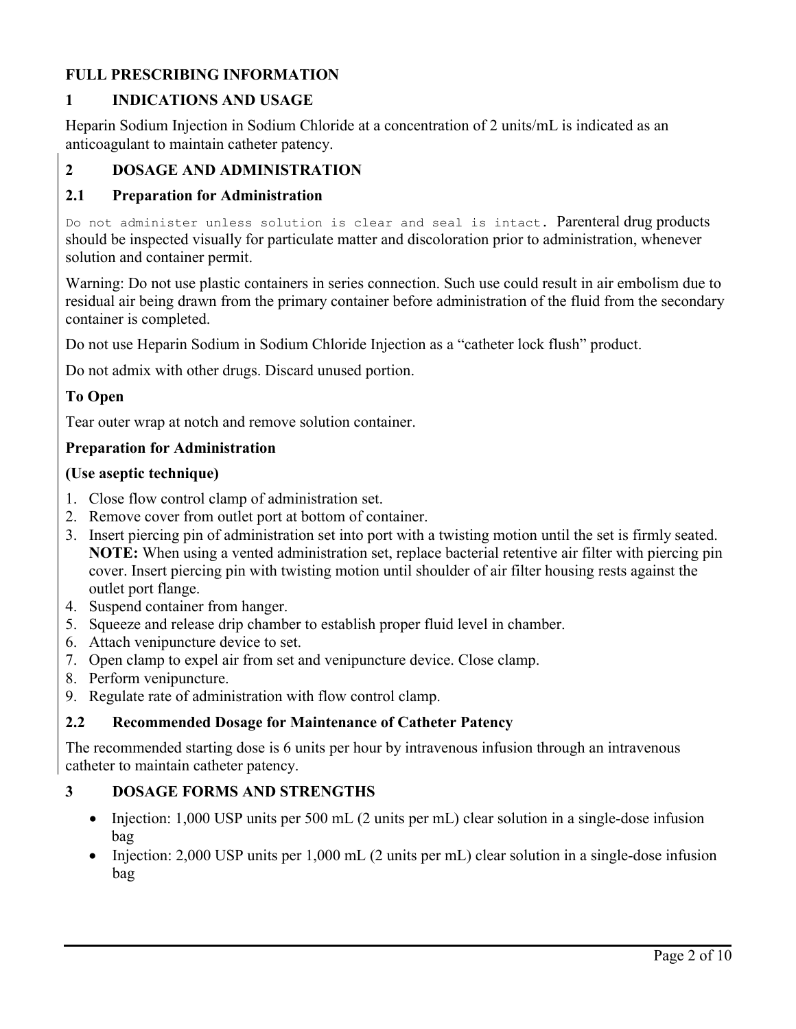# **FULL PRESCRIBING INFORMATION**

# **1 INDICATIONS AND USAGE**

Heparin Sodium Injection in Sodium Chloride at a concentration of 2 units/mL is indicated as an anticoagulant to maintain catheter patency.

# **2 DOSAGE AND ADMINISTRATION**

## **2.1 Preparation for Administration**

Do not administer unless solution is clear and seal is intact. Parenteral drug products should be inspected visually for particulate matter and discoloration prior to administration, whenever solution and container permit.

Warning: Do not use plastic containers in series connection. Such use could result in air embolism due to residual air being drawn from the primary container before administration of the fluid from the secondary container is completed.

Do not use Heparin Sodium in Sodium Chloride Injection as a "catheter lock flush" product.

Do not admix with other drugs. Discard unused portion.

## **To Open**

Tear outer wrap at notch and remove solution container.

### **Preparation for Administration**

### **(Use aseptic technique)**

- 1. Close flow control clamp of administration set.
- 2. Remove cover from outlet port at bottom of container.
- 3. Insert piercing pin of administration set into port with a twisting motion until the set is firmly seated. **NOTE:** When using a vented administration set, replace bacterial retentive air filter with piercing pin cover. Insert piercing pin with twisting motion until shoulder of air filter housing rests against the outlet port flange.
- 4. Suspend container from hanger.
- 5. Squeeze and release drip chamber to establish proper fluid level in chamber.
- 6. Attach venipuncture device to set.
- 7. Open clamp to expel air from set and venipuncture device. Close clamp.
- 8. Perform venipuncture.
- 9. Regulate rate of administration with flow control clamp.

### **2.2 Recommended Dosage for Maintenance of Catheter Patency**

The recommended starting dose is 6 units per hour by intravenous infusion through an intravenous catheter to maintain catheter patency.

### **3 DOSAGE FORMS AND STRENGTHS**

- Injection: 1,000 USP units per 500 mL (2 units per mL) clear solution in a single-dose infusion bag
- Injection: 2,000 USP units per 1,000 mL (2 units per mL) clear solution in a single-dose infusion bag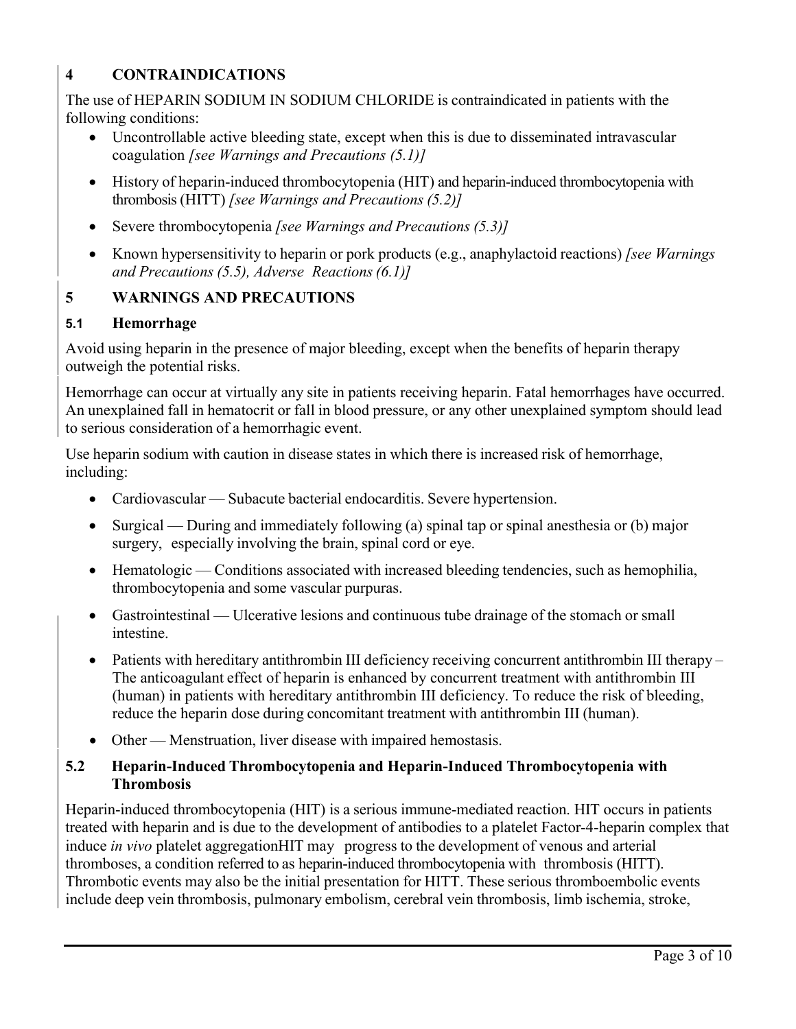# **4 CONTRAINDICATIONS**

The use of HEPARIN SODIUM IN SODIUM CHLORIDE is contraindicated in patients with the following conditions:

- Uncontrollable active bleeding state, except when this is due to disseminated intravascular coagulation *[see Warnings and Precautions (5.1)]*
- History of heparin-induced thrombocytopenia (HIT) and heparin-induced thrombocytopenia with thrombosis (HITT) *[see Warnings and Precautions (5.2)]*
- Severe thrombocytopenia *[see Warnings and Precautions (5.3)]*
- Known hypersensitivity to heparin or pork products (e.g., anaphylactoid reactions) *[see Warnings and Precautions (5.5), Adverse Reactions(6.1)]*

# **5 WARNINGS AND PRECAUTIONS**

### **5.1 Hemorrhage**

Avoid using heparin in the presence of major bleeding, except when the benefits of heparin therapy outweigh the potential risks.

Hemorrhage can occur at virtually any site in patients receiving heparin. Fatal hemorrhages have occurred. An unexplained fall in hematocrit or fall in blood pressure, or any other unexplained symptom should lead to serious consideration of a hemorrhagic event.

Use heparin sodium with caution in disease states in which there is increased risk of hemorrhage, including:

- Cardiovascular Subacute bacterial endocarditis. Severe hypertension.
- Surgical During and immediately following (a) spinal tap or spinal anesthesia or (b) major surgery, especially involving the brain, spinal cord or eye.
- Hematologic Conditions associated with increased bleeding tendencies, such as hemophilia, thrombocytopenia and some vascular purpuras.
- Gastrointestinal Ulcerative lesions and continuous tube drainage of the stomach or small intestine.
- Patients with hereditary antithrombin III deficiency receiving concurrent antithrombin III therapy The anticoagulant effect of heparin is enhanced by concurrent treatment with antithrombin III (human) in patients with hereditary antithrombin III deficiency. To reduce the risk of bleeding, reduce the heparin dose during concomitant treatment with antithrombin III (human).
- Other Menstruation, liver disease with impaired hemostasis.

### **5.2 Heparin-Induced Thrombocytopenia and Heparin-Induced Thrombocytopenia with Thrombosis**

Heparin-induced thrombocytopenia (HIT) is a serious immune-mediated reaction. HIT occurs in patients treated with heparin and is due to the development of antibodies to a platelet Factor-4-heparin complex that induce *in vivo* platelet aggregationHIT may progress to the development of venous and arterial thromboses, a condition referred to as heparin-induced thrombocytopenia with thrombosis (HITT). Thrombotic events may also be the initial presentation for HITT. These serious thromboembolic events include deep vein thrombosis, pulmonary embolism, cerebral vein thrombosis, limb ischemia, stroke,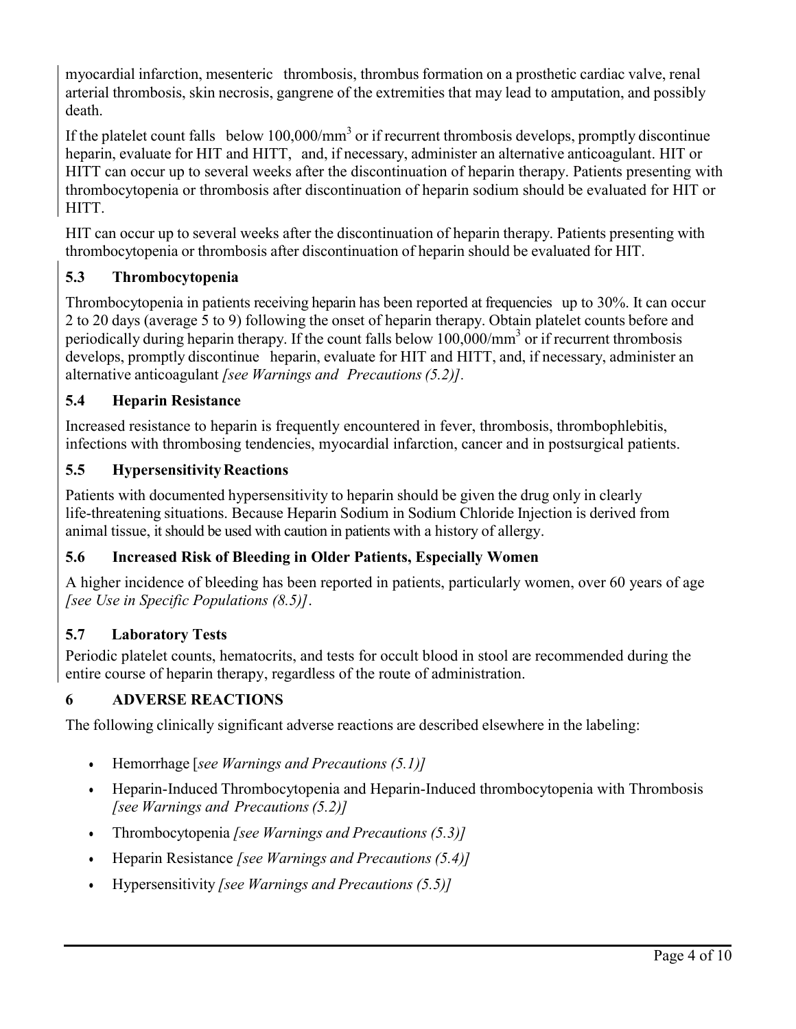myocardial infarction, mesenteric thrombosis, thrombus formation on a prosthetic cardiac valve, renal arterial thrombosis, skin necrosis, gangrene of the extremities that may lead to amputation, and possibly death.

If the platelet count falls below  $100,000/\text{mm}^3$  or if recurrent thrombosis develops, promptly discontinue heparin, evaluate for HIT and HITT, and, if necessary, administer an alternative anticoagulant. HIT or HITT can occur up to several weeks after the discontinuation of heparin therapy. Patients presenting with thrombocytopenia or thrombosis after discontinuation of heparin sodium should be evaluated for HIT or HITT.

HIT can occur up to several weeks after the discontinuation of heparin therapy. Patients presenting with thrombocytopenia or thrombosis after discontinuation of heparin should be evaluated for HIT.

# **5.3 Thrombocytopenia**

Thrombocytopenia in patients receiving heparin has been reported at frequencies up to 30%. It can occur 2 to 20 days (average 5 to 9) following the onset of heparin therapy. Obtain platelet counts before and periodically during heparin therapy. If the count falls below 100,000/mm<sup>3</sup> or if recurrent thrombosis develops, promptly discontinue heparin, evaluate for HIT and HITT, and, if necessary, administer an alternative anticoagulant *[see Warnings and Precautions(5.2)].*

# **5.4 Heparin Resistance**

Increased resistance to heparin is frequently encountered in fever, thrombosis, thrombophlebitis, infections with thrombosing tendencies, myocardial infarction, cancer and in postsurgical patients.

# **5.5 HypersensitivityReactions**

Patients with documented hypersensitivity to heparin should be given the drug only in clearly life-threatening situations. Because Heparin Sodium in Sodium Chloride Injection is derived from animal tissue, it should be used with caution in patients with a history of allergy.

# **5.6 Increased Risk of Bleeding in Older Patients, Especially Women**

A higher incidence of bleeding has been reported in patients, particularly women, over 60 years of age *[see Use in Specific Populations (8.5)]*.

# **5.7 Laboratory Tests**

Periodic platelet counts, hematocrits, and tests for occult blood in stool are recommended during the entire course of heparin therapy, regardless of the route of administration.

# **6 ADVERSE REACTIONS**

The following clinically significant adverse reactions are described elsewhere in the labeling:

- Hemorrhage [*see Warnings and Precautions (5.1)]*
- Heparin-Induced Thrombocytopenia and Heparin-Induced thrombocytopenia with Thrombosis *[see Warnings and Precautions(5.2)]*
- Thrombocytopenia *[see Warnings and Precautions (5.3)]*
- Heparin Resistance *[see Warnings and Precautions (5.4)]*
- Hypersensitivity *[see Warnings and Precautions (5.5)]*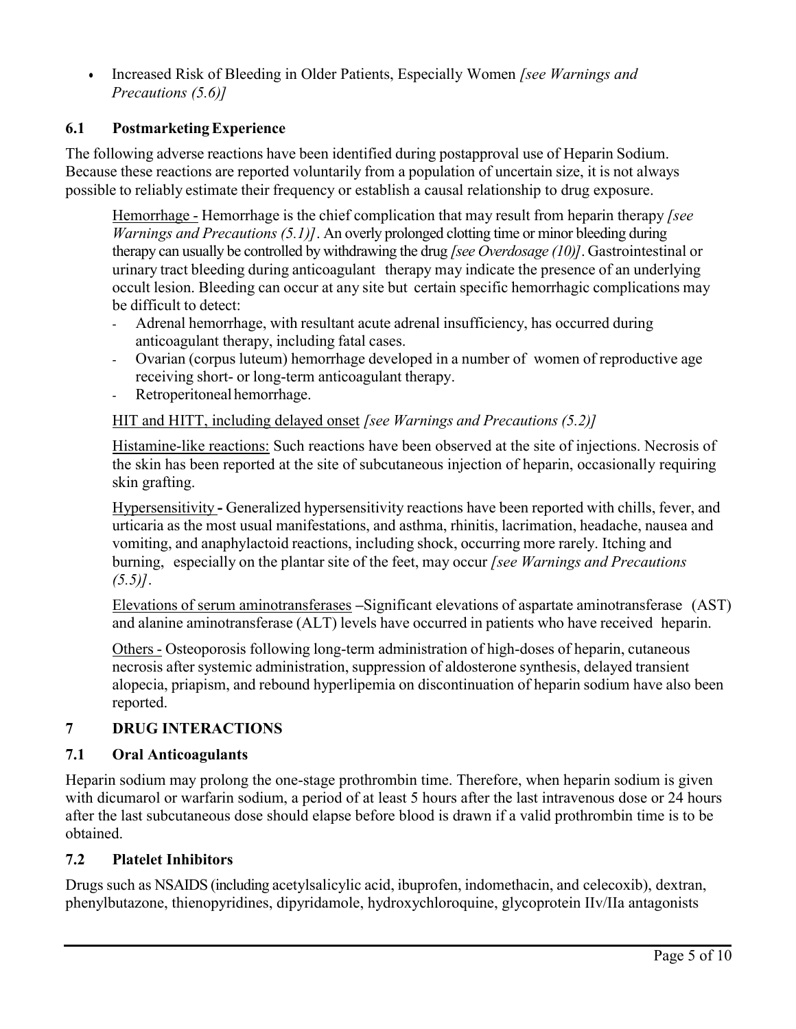Increased Risk of Bleeding in Older Patients, Especially Women *[see Warnings and Precautions (5.6)]*

# **6.1 PostmarketingExperience**

The following adverse reactions have been identified during postapproval use of Heparin Sodium. Because these reactions are reported voluntarily from a population of uncertain size, it is not always possible to reliably estimate their frequency or establish a causal relationship to drug exposure.

Hemorrhage - Hemorrhage is the chief complication that may result from heparin therapy *[see Warnings and Precautions (5.1)]*. An overly prolonged clotting time or minor bleeding during therapy can usually be controlled by withdrawing the drug *[see Overdosage (10)]*. Gastrointestinal or urinary tract bleeding during anticoagulant therapy may indicate the presence of an underlying occult lesion. Bleeding can occur at any site but certain specific hemorrhagic complications may be difficult to detect:

- Adrenal hemorrhage, with resultant acute adrenal insufficiency, has occurred during anticoagulant therapy, including fatal cases.
- Ovarian (corpus luteum) hemorrhage developed in a number of women of reproductive age receiving short- or long-term anticoagulant therapy.
- Retroperitoneal hemorrhage.

# HIT and HITT, including delayed onset *[see Warnings and Precautions (5.2)]*

Histamine-like reactions: Such reactions have been observed at the site of injections. Necrosis of the skin has been reported at the site of subcutaneous injection of heparin, occasionally requiring skin grafting.

Hypersensitivity **-** Generalized hypersensitivity reactions have been reported with chills, fever, and urticaria as the most usual manifestations, and asthma, rhinitis, lacrimation, headache, nausea and vomiting, and anaphylactoid reactions, including shock, occurring more rarely. Itching and burning, especially on the plantar site of the feet, may occur *[see Warnings and Precautions (5.5)]*.

Elevations of serum aminotransferases **–**Significant elevations of aspartate aminotransferase (AST) and alanine aminotransferase (ALT) levels have occurred in patients who have received heparin.

Others - Osteoporosis following long-term administration of high-doses of heparin, cutaneous necrosis after systemic administration, suppression of aldosterone synthesis, delayed transient alopecia, priapism, and rebound hyperlipemia on discontinuation of heparin sodium have also been reported.

# **7 DRUG INTERACTIONS**

### **7.1 Oral Anticoagulants**

Heparin sodium may prolong the one-stage prothrombin time. Therefore, when heparin sodium is given with dicumarol or warfarin sodium, a period of at least 5 hours after the last intravenous dose or 24 hours after the last subcutaneous dose should elapse before blood is drawn if a valid prothrombin time is to be obtained.

### **7.2 Platelet Inhibitors**

Drugs such as NSAIDS (including acetylsalicylic acid, ibuprofen, indomethacin, and celecoxib), dextran, phenylbutazone, thienopyridines, dipyridamole, hydroxychloroquine, glycoprotein IIv/IIa antagonists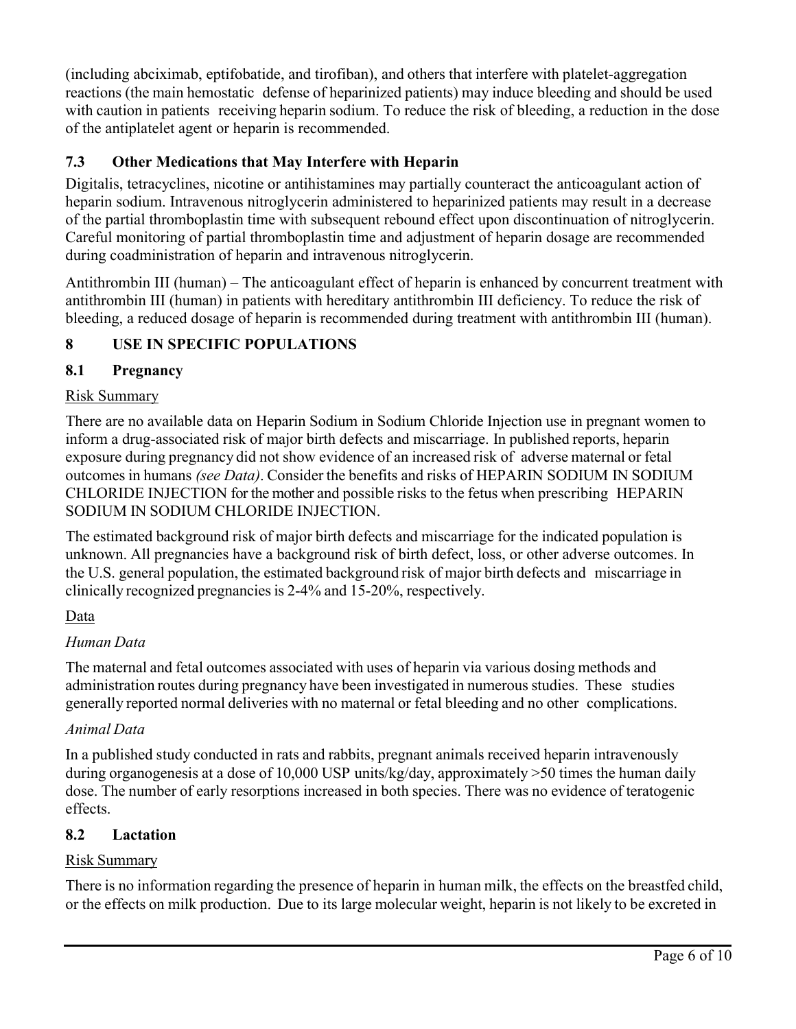(including abciximab, eptifobatide, and tirofiban), and others that interfere with platelet-aggregation reactions (the main hemostatic defense of heparinized patients) may induce bleeding and should be used with caution in patients receiving heparin sodium. To reduce the risk of bleeding, a reduction in the dose of the antiplatelet agent or heparin is recommended.

# **7.3 Other Medications that May Interfere with Heparin**

Digitalis, tetracyclines, nicotine or antihistamines may partially counteract the anticoagulant action of heparin sodium. Intravenous nitroglycerin administered to heparinized patients may result in a decrease of the partial thromboplastin time with subsequent rebound effect upon discontinuation of nitroglycerin. Careful monitoring of partial thromboplastin time and adjustment of heparin dosage are recommended during coadministration of heparin and intravenous nitroglycerin.

Antithrombin III (human) – The anticoagulant effect of heparin is enhanced by concurrent treatment with antithrombin III (human) in patients with hereditary antithrombin III deficiency. To reduce the risk of bleeding, a reduced dosage of heparin is recommended during treatment with antithrombin III (human).

# **8 USE IN SPECIFIC POPULATIONS**

# **8.1 Pregnancy**

### Risk Summary

There are no available data on Heparin Sodium in Sodium Chloride Injection use in pregnant women to inform a drug-associated risk of major birth defects and miscarriage. In published reports, heparin exposure during pregnancy did not show evidence of an increased risk of adverse maternal or fetal outcomes in humans *(see Data)*. Consider the benefits and risks of HEPARIN SODIUM IN SODIUM CHLORIDE INJECTION for the mother and possible risks to the fetus when prescribing HEPARIN SODIUM IN SODIUM CHLORIDE INJECTION.

The estimated background risk of major birth defects and miscarriage for the indicated population is unknown. All pregnancies have a background risk of birth defect, loss, or other adverse outcomes. In the U.S. general population, the estimated background risk of major birth defects and miscarriage in clinically recognized pregnanciesis 2-4% and 15-20%, respectively.

# Data

### *Human Data*

The maternal and fetal outcomes associated with uses of heparin via various dosing methods and administration routes during pregnancy have been investigated in numerous studies. These studies generally reported normal deliveries with no maternal or fetal bleeding and no other complications.

### *Animal Data*

In a published study conducted in rats and rabbits, pregnant animals received heparin intravenously during organogenesis at a dose of 10,000 USP units/kg/day, approximately >50 times the human daily dose. The number of early resorptions increased in both species. There was no evidence of teratogenic effects.

### **8.2 Lactation**

### Risk Summary

There is no information regarding the presence of heparin in human milk, the effects on the breastfed child, or the effects on milk production. Due to its large molecular weight, heparin is not likely to be excreted in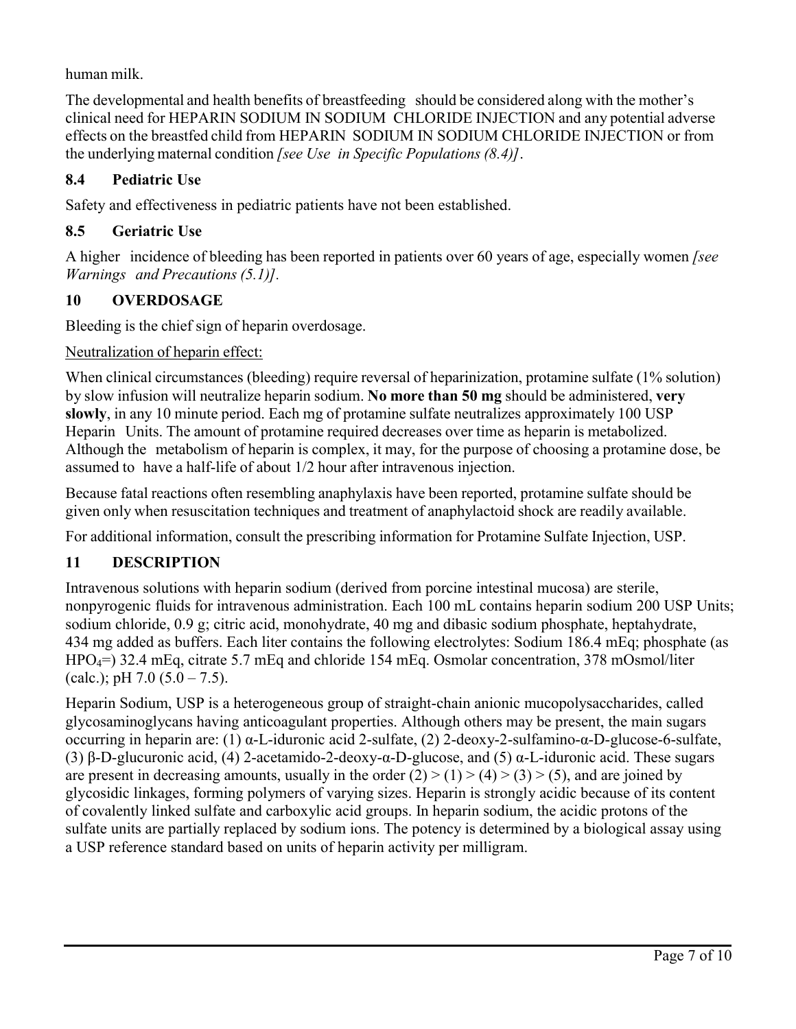human milk.

The developmental and health benefits of breastfeeding should be considered along with the mother's clinical need for HEPARIN SODIUM IN SODIUM CHLORIDE INJECTION and any potential adverse effects on the breastfed child from HEPARIN SODIUM IN SODIUM CHLORIDE INJECTION or from the underlying maternal condition *[see Use in Specific Populations (8.4)]*.

# **8.4 Pediatric Use**

Safety and effectiveness in pediatric patients have not been established.

# **8.5 Geriatric Use**

A higher incidence of bleeding has been reported in patients over 60 years of age, especially women *[see Warnings and Precautions (5.1)].*

# **10 OVERDOSAGE**

Bleeding is the chief sign of heparin overdosage.

# Neutralization of heparin effect:

When clinical circumstances (bleeding) require reversal of heparinization, protamine sulfate (1% solution) by slow infusion will neutralize heparin sodium. **No more than 50 mg** should be administered, **very slowly**, in any 10 minute period. Each mg of protamine sulfate neutralizes approximately 100 USP Heparin Units. The amount of protamine required decreases over time as heparin is metabolized. Although the metabolism of heparin is complex, it may, for the purpose of choosing a protamine dose, be assumed to have a half-life of about 1/2 hour after intravenous injection.

Because fatal reactions often resembling anaphylaxis have been reported, protamine sulfate should be given only when resuscitation techniques and treatment of anaphylactoid shock are readily available.

For additional information, consult the prescribing information for Protamine Sulfate Injection, USP.

# **11 DESCRIPTION**

Intravenous solutions with heparin sodium (derived from porcine intestinal mucosa) are sterile, nonpyrogenic fluids for intravenous administration. Each 100 mL contains heparin sodium 200 USP Units; sodium chloride, 0.9 g; citric acid, monohydrate, 40 mg and dibasic sodium phosphate, heptahydrate, 434 mg added as buffers. Each liter contains the following electrolytes: Sodium 186.4 mEq; phosphate (as HPO4=) 32.4 mEq, citrate 5.7 mEq and chloride 154 mEq. Osmolar concentration, 378 mOsmol/liter (calc.); pH  $7.0$  (5.0 –  $7.5$ ).

Heparin Sodium, USP is a heterogeneous group of straight-chain anionic mucopolysaccharides, called glycosaminoglycans having anticoagulant properties. Although others may be present, the main sugars occurring in heparin are: (1) α-L-iduronic acid 2-sulfate, (2) 2-deoxy-2-sulfamino-α-D-glucose-6-sulfate, (3) β-D-glucuronic acid, (4) 2-acetamido-2-deoxy-α-D-glucose, and (5) α-L-iduronic acid. These sugars are present in decreasing amounts, usually in the order  $(2) > (1) > (4) > (3) > (5)$ , and are joined by glycosidic linkages, forming polymers of varying sizes. Heparin is strongly acidic because of its content of covalently linked sulfate and carboxylic acid groups. In heparin sodium, the acidic protons of the sulfate units are partially replaced by sodium ions. The potency is determined by a biological assay using a USP reference standard based on units of heparin activity per milligram.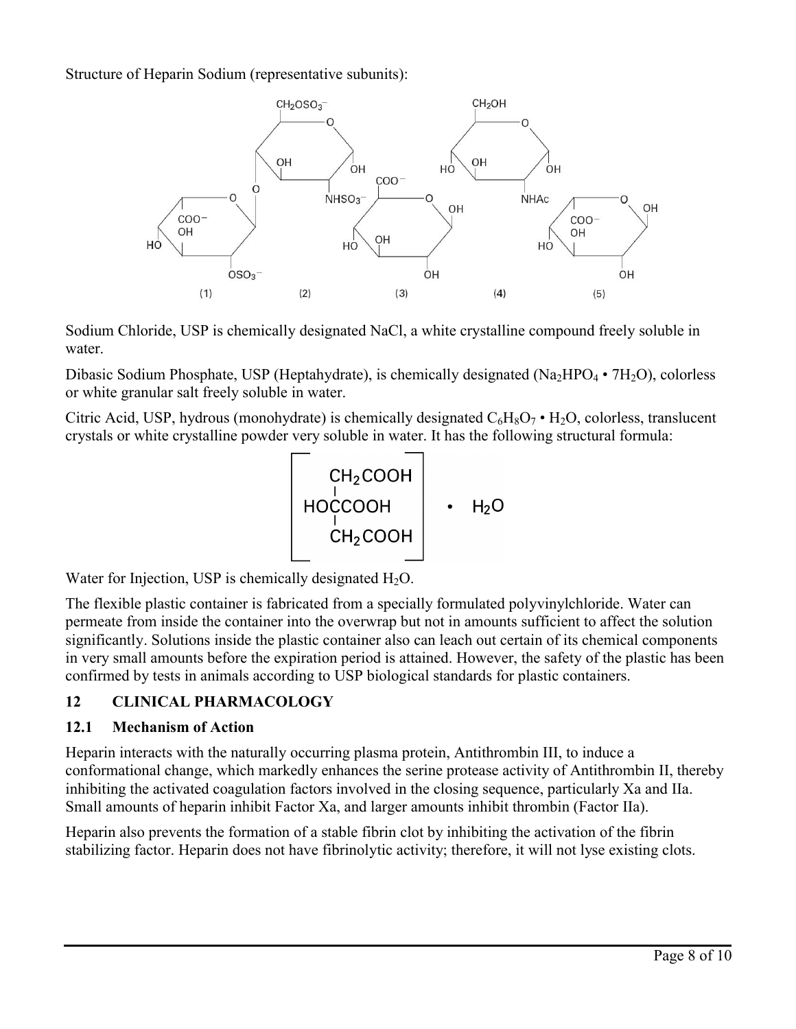Structure of Heparin Sodium (representative subunits):



Sodium Chloride, USP is chemically designated NaCl, a white crystalline compound freely soluble in water.

Dibasic Sodium Phosphate, USP (Heptahydrate), is chemically designated (Na<sub>2</sub>HPO<sub>4</sub> • 7H<sub>2</sub>O), colorless or white granular salt freely soluble in water.

Citric Acid, USP, hydrous (monohydrate) is chemically designated  $C_6H_8O_7$  • H<sub>2</sub>O, colorless, translucent crystals or white crystalline powder very soluble in water. It has the following structural formula:

$$
\begin{bmatrix}CH_2COOH\\ HOCCOOH\\ CH_2COOH\\ CH_2COOH\end{bmatrix} \cdot H_2O
$$

Water for Injection, USP is chemically designated  $H_2O$ .

The flexible plastic container is fabricated from a specially formulated polyvinylchloride. Water can permeate from inside the container into the overwrap but not in amounts sufficient to affect the solution significantly. Solutions inside the plastic container also can leach out certain of its chemical components in very small amounts before the expiration period is attained. However, the safety of the plastic has been confirmed by tests in animals according to USP biological standards for plastic containers.

# **12 CLINICAL PHARMACOLOGY**

# **12.1 Mechanism of Action**

Heparin interacts with the naturally occurring plasma protein, Antithrombin III, to induce a conformational change, which markedly enhances the serine protease activity of Antithrombin II, thereby inhibiting the activated coagulation factors involved in the closing sequence, particularly Xa and IIa. Small amounts of heparin inhibit Factor Xa, and larger amounts inhibit thrombin (Factor IIa).

Heparin also prevents the formation of a stable fibrin clot by inhibiting the activation of the fibrin stabilizing factor. Heparin does not have fibrinolytic activity; therefore, it will not lyse existing clots.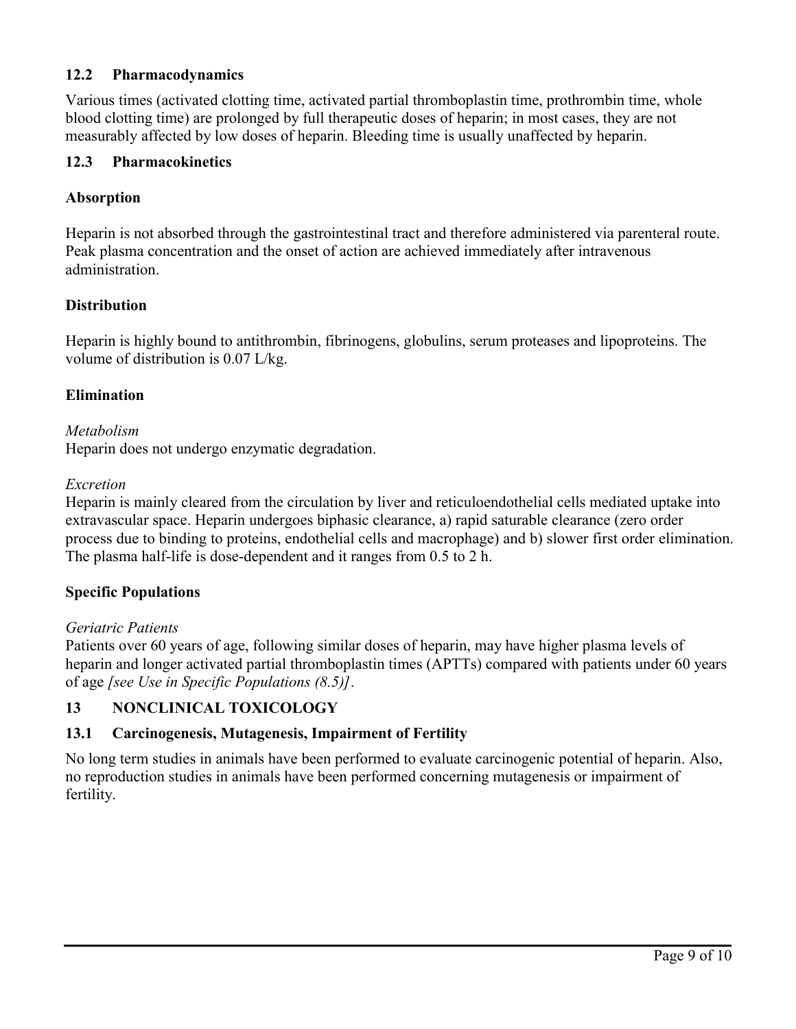### **12.2 Pharmacodynamics**

Various times (activated clotting time, activated partial thromboplastin time, prothrombin time, whole blood clotting time) are prolonged by full therapeutic doses of heparin; in most cases, they are not measurably affected by low doses of heparin. Bleeding time is usually unaffected by heparin.

### **12.3 Pharmacokinetics**

### **Absorption**

Heparin is not absorbed through the gastrointestinal tract and therefore administered via parenteral route. Peak plasma concentration and the onset of action are achieved immediately after intravenous administration.

### **Distribution**

Heparin is highly bound to antithrombin, fibrinogens, globulins, serum proteases and lipoproteins. The volume of distribution is 0.07 L/kg.

### **Elimination**

#### *Metabolism*

Heparin does not undergo enzymatic degradation.

#### *Excretion*

Heparin is mainly cleared from the circulation by liver and reticuloendothelial cells mediated uptake into extravascular space. Heparin undergoes biphasic clearance, a) rapid saturable clearance (zero order process due to binding to proteins, endothelial cells and macrophage) and b) slower first order elimination. The plasma half-life is dose-dependent and it ranges from 0.5 to 2 h.

#### **Specific Populations**

#### *Geriatric Patients*

Patients over 60 years of age, following similar doses of heparin, may have higher plasma levels of heparin and longer activated partial thromboplastin times (APTTs) compared with patients under 60 years of age *[see Use in Specific Populations (8.5)]*.

### **13 NONCLINICAL TOXICOLOGY**

#### **13.1 Carcinogenesis, Mutagenesis, Impairment of Fertility**

No long term studies in animals have been performed to evaluate carcinogenic potential of heparin. Also, no reproduction studies in animals have been performed concerning mutagenesis or impairment of fertility.